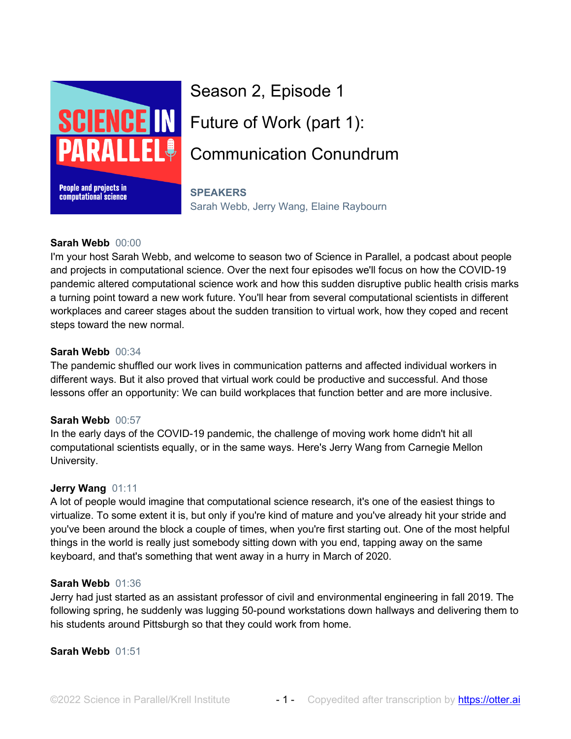

# Season 2, Episode 1 Future of Work (part 1): Communication Conundrum

## **SPEAKERS**

Sarah Webb, Jerry Wang, Elaine Raybourn

# **Sarah Webb** 00:00

I'm your host Sarah Webb, and welcome to season two of Science in Parallel, a podcast about people and projects in computational science. Over the next four episodes we'll focus on how the COVID-19 pandemic altered computational science work and how this sudden disruptive public health crisis marks a turning point toward a new work future. You'll hear from several computational scientists in different workplaces and career stages about the sudden transition to virtual work, how they coped and recent steps toward the new normal.

# **Sarah Webb** 00:34

The pandemic shuffled our work lives in communication patterns and affected individual workers in different ways. But it also proved that virtual work could be productive and successful. And those lessons offer an opportunity: We can build workplaces that function better and are more inclusive.

# **Sarah Webb** 00:57

In the early days of the COVID-19 pandemic, the challenge of moving work home didn't hit all computational scientists equally, or in the same ways. Here's Jerry Wang from Carnegie Mellon University.

# **Jerry Wang** 01:11

A lot of people would imagine that computational science research, it's one of the easiest things to virtualize. To some extent it is, but only if you're kind of mature and you've already hit your stride and you've been around the block a couple of times, when you're first starting out. One of the most helpful things in the world is really just somebody sitting down with you end, tapping away on the same keyboard, and that's something that went away in a hurry in March of 2020.

# **Sarah Webb** 01:36

Jerry had just started as an assistant professor of civil and environmental engineering in fall 2019. The following spring, he suddenly was lugging 50-pound workstations down hallways and delivering them to his students around Pittsburgh so that they could work from home.

# **Sarah Webb** 01:51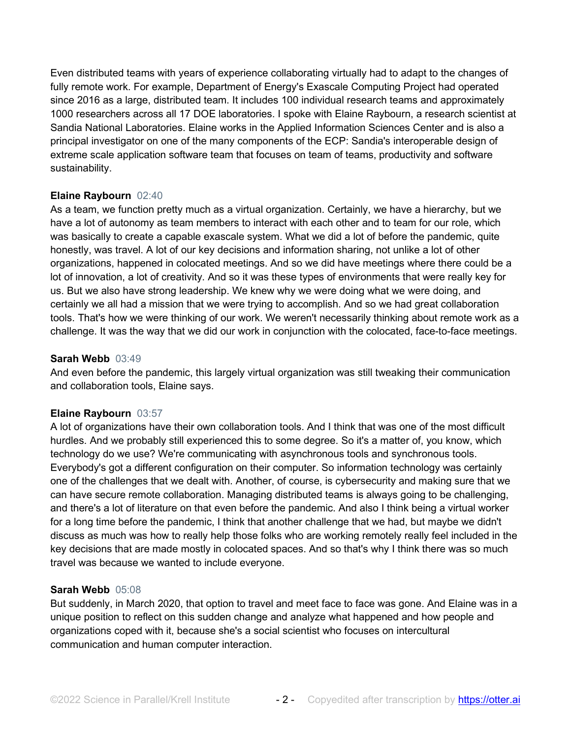Even distributed teams with years of experience collaborating virtually had to adapt to the changes of fully remote work. For example, Department of Energy's Exascale Computing Project had operated since 2016 as a large, distributed team. It includes 100 individual research teams and approximately 1000 researchers across all 17 DOE laboratories. I spoke with Elaine Raybourn, a research scientist at Sandia National Laboratories. Elaine works in the Applied Information Sciences Center and is also a principal investigator on one of the many components of the ECP: Sandia's interoperable design of extreme scale application software team that focuses on team of teams, productivity and software sustainability.

# **Elaine Raybourn** 02:40

As a team, we function pretty much as a virtual organization. Certainly, we have a hierarchy, but we have a lot of autonomy as team members to interact with each other and to team for our role, which was basically to create a capable exascale system. What we did a lot of before the pandemic, quite honestly, was travel. A lot of our key decisions and information sharing, not unlike a lot of other organizations, happened in colocated meetings. And so we did have meetings where there could be a lot of innovation, a lot of creativity. And so it was these types of environments that were really key for us. But we also have strong leadership. We knew why we were doing what we were doing, and certainly we all had a mission that we were trying to accomplish. And so we had great collaboration tools. That's how we were thinking of our work. We weren't necessarily thinking about remote work as a challenge. It was the way that we did our work in conjunction with the colocated, face-to-face meetings.

#### **Sarah Webb** 03:49

And even before the pandemic, this largely virtual organization was still tweaking their communication and collaboration tools, Elaine says.

#### **Elaine Raybourn** 03:57

A lot of organizations have their own collaboration tools. And I think that was one of the most difficult hurdles. And we probably still experienced this to some degree. So it's a matter of, you know, which technology do we use? We're communicating with asynchronous tools and synchronous tools. Everybody's got a different configuration on their computer. So information technology was certainly one of the challenges that we dealt with. Another, of course, is cybersecurity and making sure that we can have secure remote collaboration. Managing distributed teams is always going to be challenging, and there's a lot of literature on that even before the pandemic. And also I think being a virtual worker for a long time before the pandemic, I think that another challenge that we had, but maybe we didn't discuss as much was how to really help those folks who are working remotely really feel included in the key decisions that are made mostly in colocated spaces. And so that's why I think there was so much travel was because we wanted to include everyone.

#### **Sarah Webb** 05:08

But suddenly, in March 2020, that option to travel and meet face to face was gone. And Elaine was in a unique position to reflect on this sudden change and analyze what happened and how people and organizations coped with it, because she's a social scientist who focuses on intercultural communication and human computer interaction.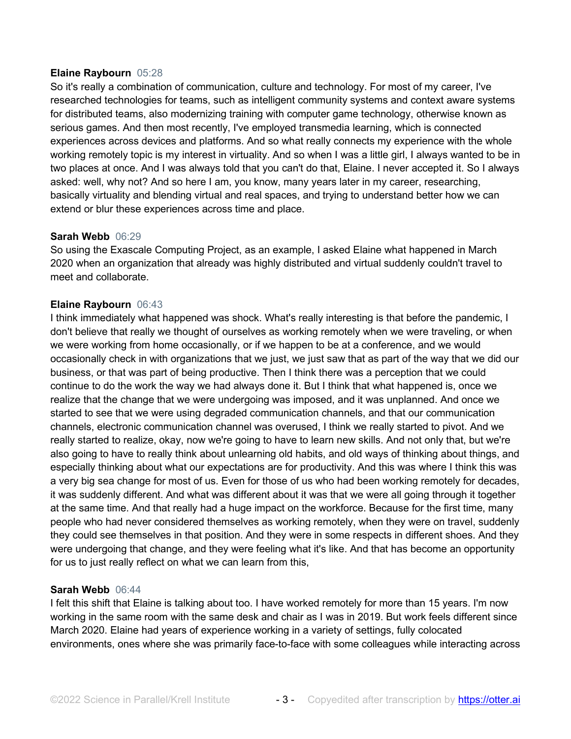#### **Elaine Raybourn** 05:28

So it's really a combination of communication, culture and technology. For most of my career, I've researched technologies for teams, such as intelligent community systems and context aware systems for distributed teams, also modernizing training with computer game technology, otherwise known as serious games. And then most recently, I've employed transmedia learning, which is connected experiences across devices and platforms. And so what really connects my experience with the whole working remotely topic is my interest in virtuality. And so when I was a little girl, I always wanted to be in two places at once. And I was always told that you can't do that, Elaine. I never accepted it. So I always asked: well, why not? And so here I am, you know, many years later in my career, researching, basically virtuality and blending virtual and real spaces, and trying to understand better how we can extend or blur these experiences across time and place.

## **Sarah Webb** 06:29

So using the Exascale Computing Project, as an example, I asked Elaine what happened in March 2020 when an organization that already was highly distributed and virtual suddenly couldn't travel to meet and collaborate.

## **Elaine Raybourn** 06:43

I think immediately what happened was shock. What's really interesting is that before the pandemic, I don't believe that really we thought of ourselves as working remotely when we were traveling, or when we were working from home occasionally, or if we happen to be at a conference, and we would occasionally check in with organizations that we just, we just saw that as part of the way that we did our business, or that was part of being productive. Then I think there was a perception that we could continue to do the work the way we had always done it. But I think that what happened is, once we realize that the change that we were undergoing was imposed, and it was unplanned. And once we started to see that we were using degraded communication channels, and that our communication channels, electronic communication channel was overused, I think we really started to pivot. And we really started to realize, okay, now we're going to have to learn new skills. And not only that, but we're also going to have to really think about unlearning old habits, and old ways of thinking about things, and especially thinking about what our expectations are for productivity. And this was where I think this was a very big sea change for most of us. Even for those of us who had been working remotely for decades, it was suddenly different. And what was different about it was that we were all going through it together at the same time. And that really had a huge impact on the workforce. Because for the first time, many people who had never considered themselves as working remotely, when they were on travel, suddenly they could see themselves in that position. And they were in some respects in different shoes. And they were undergoing that change, and they were feeling what it's like. And that has become an opportunity for us to just really reflect on what we can learn from this,

#### **Sarah Webb** 06:44

I felt this shift that Elaine is talking about too. I have worked remotely for more than 15 years. I'm now working in the same room with the same desk and chair as I was in 2019. But work feels different since March 2020. Elaine had years of experience working in a variety of settings, fully colocated environments, ones where she was primarily face-to-face with some colleagues while interacting across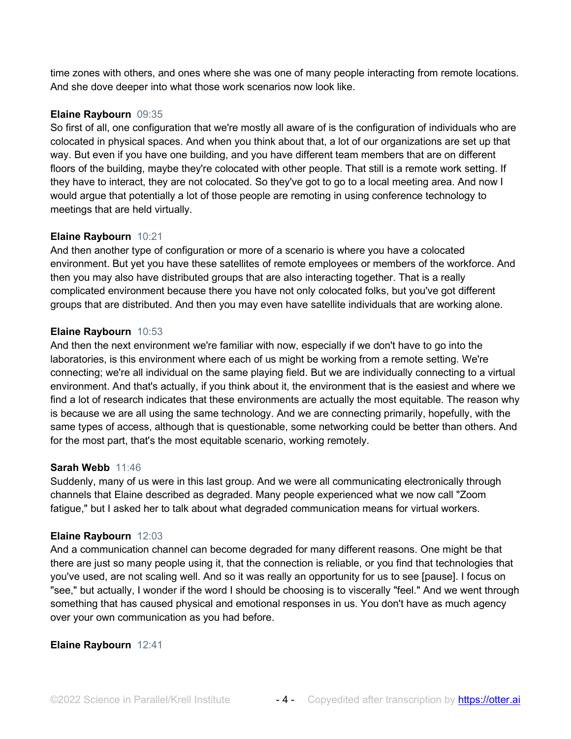time zones with others, and ones where she was one of many people interacting from remote locations. And she dove deeper into what those work scenarios now look like.

# **Elaine Raybourn** 09:35

So first of all, one configuration that we're mostly all aware of is the configuration of individuals who are colocated in physical spaces. And when you think about that, a lot of our organizations are set up that way. But even if you have one building, and you have different team members that are on different floors of the building, maybe they're colocated with other people. That still is a remote work setting. If they have to interact, they are not colocated. So they've got to go to a local meeting area. And now I would argue that potentially a lot of those people are remoting in using conference technology to meetings that are held virtually.

## **Elaine Raybourn** 10:21

And then another type of configuration or more of a scenario is where you have a colocated environment. But yet you have these satellites of remote employees or members of the workforce. And then you may also have distributed groups that are also interacting together. That is a really complicated environment because there you have not only colocated folks, but you've got different groups that are distributed. And then you may even have satellite individuals that are working alone.

## **Elaine Raybourn** 10:53

And then the next environment we're familiar with now, especially if we don't have to go into the laboratories, is this environment where each of us might be working from a remote setting. We're connecting; we're all individual on the same playing field. But we are individually connecting to a virtual environment. And that's actually, if you think about it, the environment that is the easiest and where we find a lot of research indicates that these environments are actually the most equitable. The reason why is because we are all using the same technology. And we are connecting primarily, hopefully, with the same types of access, although that is questionable, some networking could be better than others. And for the most part, that's the most equitable scenario, working remotely.

#### **Sarah Webb** 11:46

Suddenly, many of us were in this last group. And we were all communicating electronically through channels that Elaine described as degraded. Many people experienced what we now call "Zoom fatigue," but I asked her to talk about what degraded communication means for virtual workers.

#### **Elaine Raybourn** 12:03

And a communication channel can become degraded for many different reasons. One might be that there are just so many people using it, that the connection is reliable, or you find that technologies that you've used, are not scaling well. And so it was really an opportunity for us to see [pause]. I focus on "see," but actually, I wonder if the word I should be choosing is to viscerally "feel." And we went through something that has caused physical and emotional responses in us. You don't have as much agency over your own communication as you had before.

#### **Elaine Raybourn** 12:41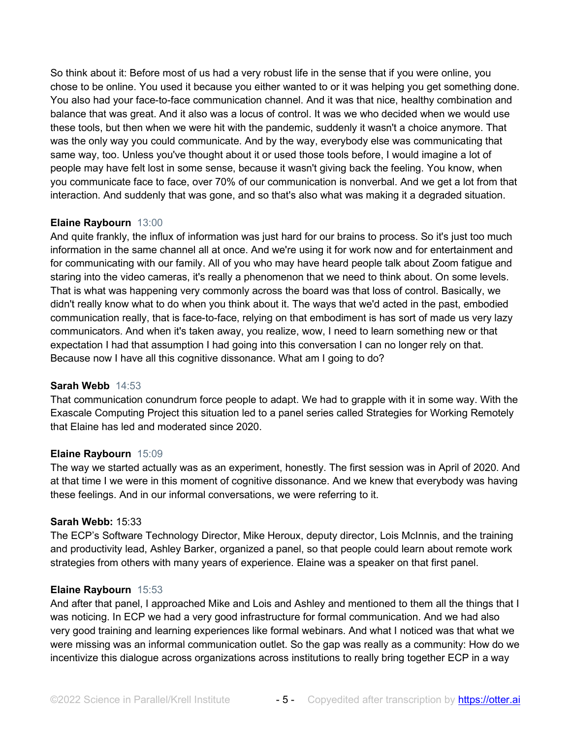So think about it: Before most of us had a very robust life in the sense that if you were online, you chose to be online. You used it because you either wanted to or it was helping you get something done. You also had your face-to-face communication channel. And it was that nice, healthy combination and balance that was great. And it also was a locus of control. It was we who decided when we would use these tools, but then when we were hit with the pandemic, suddenly it wasn't a choice anymore. That was the only way you could communicate. And by the way, everybody else was communicating that same way, too. Unless you've thought about it or used those tools before, I would imagine a lot of people may have felt lost in some sense, because it wasn't giving back the feeling. You know, when you communicate face to face, over 70% of our communication is nonverbal. And we get a lot from that interaction. And suddenly that was gone, and so that's also what was making it a degraded situation.

# **Elaine Raybourn** 13:00

And quite frankly, the influx of information was just hard for our brains to process. So it's just too much information in the same channel all at once. And we're using it for work now and for entertainment and for communicating with our family. All of you who may have heard people talk about Zoom fatigue and staring into the video cameras, it's really a phenomenon that we need to think about. On some levels. That is what was happening very commonly across the board was that loss of control. Basically, we didn't really know what to do when you think about it. The ways that we'd acted in the past, embodied communication really, that is face-to-face, relying on that embodiment is has sort of made us very lazy communicators. And when it's taken away, you realize, wow, I need to learn something new or that expectation I had that assumption I had going into this conversation I can no longer rely on that. Because now I have all this cognitive dissonance. What am I going to do?

## **Sarah Webb** 14:53

That communication conundrum force people to adapt. We had to grapple with it in some way. With the Exascale Computing Project this situation led to a panel series called Strategies for Working Remotely that Elaine has led and moderated since 2020.

#### **Elaine Raybourn** 15:09

The way we started actually was as an experiment, honestly. The first session was in April of 2020. And at that time I we were in this moment of cognitive dissonance. And we knew that everybody was having these feelings. And in our informal conversations, we were referring to it.

#### **Sarah Webb:** 15:33

The ECP's Software Technology Director, Mike Heroux, deputy director, Lois McInnis, and the training and productivity lead, Ashley Barker, organized a panel, so that people could learn about remote work strategies from others with many years of experience. Elaine was a speaker on that first panel.

#### **Elaine Raybourn** 15:53

And after that panel, I approached Mike and Lois and Ashley and mentioned to them all the things that I was noticing. In ECP we had a very good infrastructure for formal communication. And we had also very good training and learning experiences like formal webinars. And what I noticed was that what we were missing was an informal communication outlet. So the gap was really as a community: How do we incentivize this dialogue across organizations across institutions to really bring together ECP in a way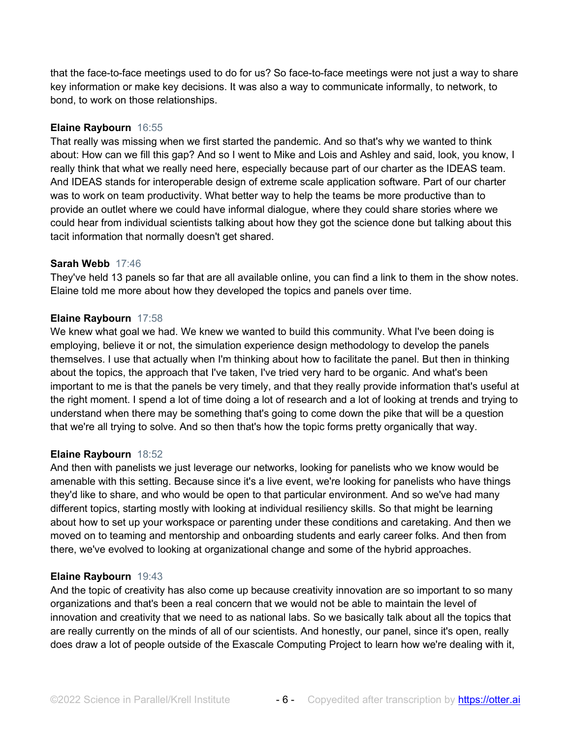that the face-to-face meetings used to do for us? So face-to-face meetings were not just a way to share key information or make key decisions. It was also a way to communicate informally, to network, to bond, to work on those relationships.

# **Elaine Raybourn** 16:55

That really was missing when we first started the pandemic. And so that's why we wanted to think about: How can we fill this gap? And so I went to Mike and Lois and Ashley and said, look, you know, I really think that what we really need here, especially because part of our charter as the IDEAS team. And IDEAS stands for interoperable design of extreme scale application software. Part of our charter was to work on team productivity. What better way to help the teams be more productive than to provide an outlet where we could have informal dialogue, where they could share stories where we could hear from individual scientists talking about how they got the science done but talking about this tacit information that normally doesn't get shared.

## **Sarah Webb** 17:46

They've held 13 panels so far that are all available online, you can find a link to them in the show notes. Elaine told me more about how they developed the topics and panels over time.

## **Elaine Raybourn** 17:58

We knew what goal we had. We knew we wanted to build this community. What I've been doing is employing, believe it or not, the simulation experience design methodology to develop the panels themselves. I use that actually when I'm thinking about how to facilitate the panel. But then in thinking about the topics, the approach that I've taken, I've tried very hard to be organic. And what's been important to me is that the panels be very timely, and that they really provide information that's useful at the right moment. I spend a lot of time doing a lot of research and a lot of looking at trends and trying to understand when there may be something that's going to come down the pike that will be a question that we're all trying to solve. And so then that's how the topic forms pretty organically that way.

#### **Elaine Raybourn** 18:52

And then with panelists we just leverage our networks, looking for panelists who we know would be amenable with this setting. Because since it's a live event, we're looking for panelists who have things they'd like to share, and who would be open to that particular environment. And so we've had many different topics, starting mostly with looking at individual resiliency skills. So that might be learning about how to set up your workspace or parenting under these conditions and caretaking. And then we moved on to teaming and mentorship and onboarding students and early career folks. And then from there, we've evolved to looking at organizational change and some of the hybrid approaches.

#### **Elaine Raybourn** 19:43

And the topic of creativity has also come up because creativity innovation are so important to so many organizations and that's been a real concern that we would not be able to maintain the level of innovation and creativity that we need to as national labs. So we basically talk about all the topics that are really currently on the minds of all of our scientists. And honestly, our panel, since it's open, really does draw a lot of people outside of the Exascale Computing Project to learn how we're dealing with it,